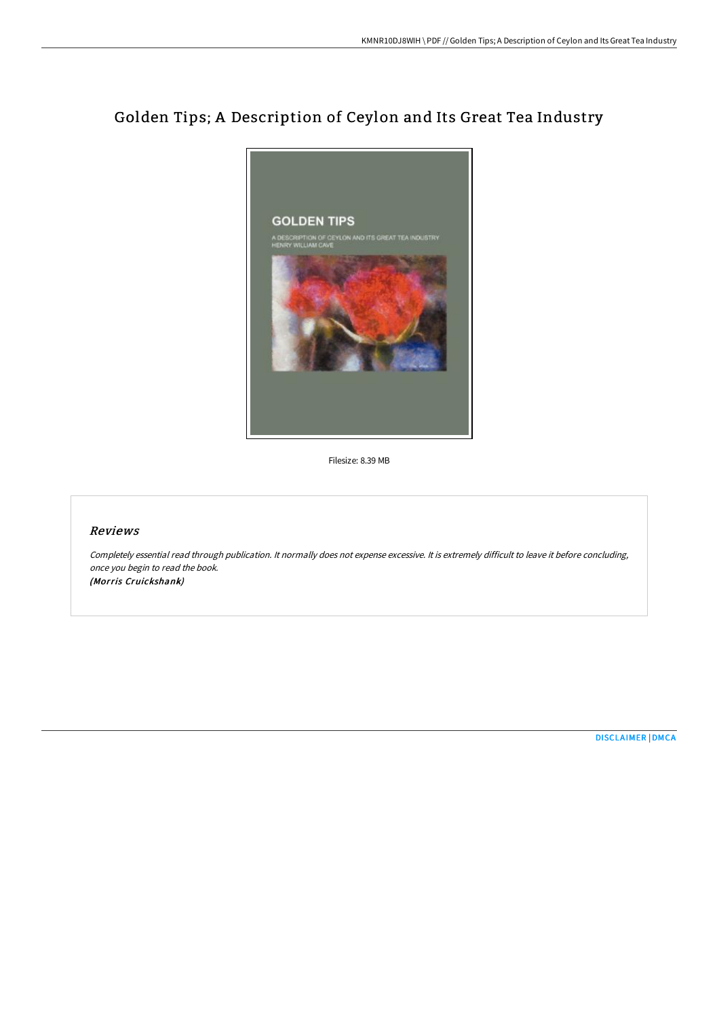# Golden Tips; A Description of Ceylon and Its Great Tea Industry



Filesize: 8.39 MB

#### Reviews

Completely essential read through publication. It normally does not expense excessive. It is extremely difficult to leave it before concluding, once you begin to read the book. (Morris Cruickshank)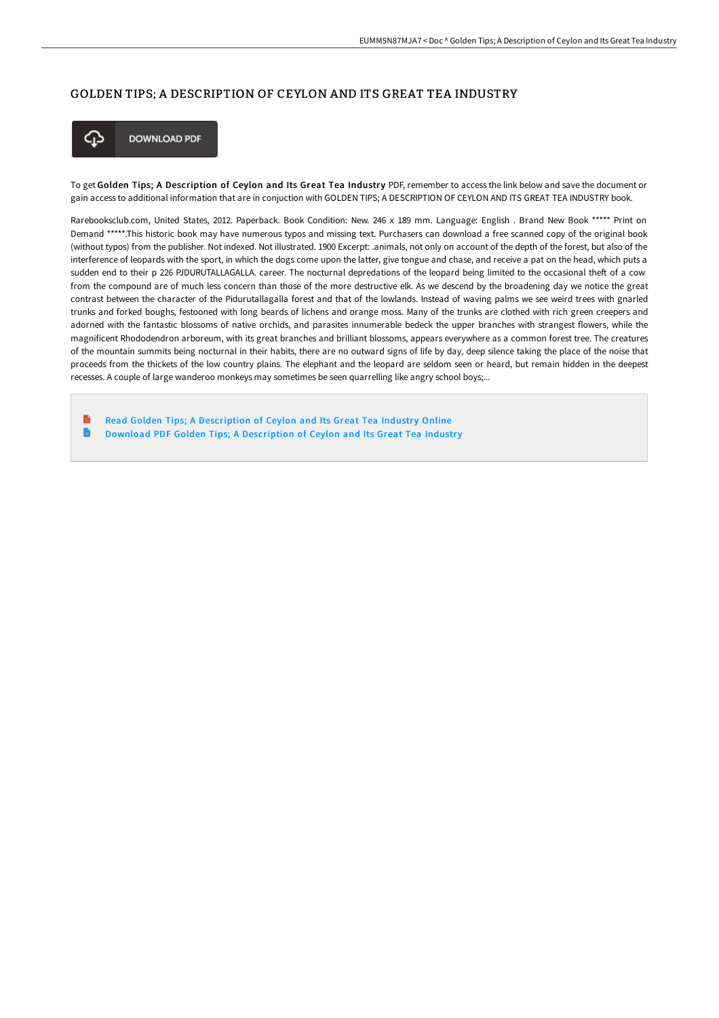#### GOLDEN TIPS; A DESCRIPTION OF CEYLON AND ITS GREAT TEA INDUSTRY



**DOWNLOAD PDF** 

To get Golden Tips; A Description of Ceylon and Its Great Tea Industry PDF, remember to access the link below and save the document or gain access to additional information that are in conjuction with GOLDEN TIPS; A DESCRIPTION OF CEYLON AND ITS GREAT TEA INDUSTRY book.

Rarebooksclub.com, United States, 2012. Paperback. Book Condition: New. 246 x 189 mm. Language: English . Brand New Book \*\*\*\*\* Print on Demand \*\*\*\*\*.This historic book may have numerous typos and missing text. Purchasers can download a free scanned copy of the original book (without typos) from the publisher. Not indexed. Not illustrated. 1900 Excerpt: .animals, not only on account of the depth of the forest, but also of the interference of leopards with the sport, in which the dogs come upon the latter, give tongue and chase, and receive a pat on the head, which puts a sudden end to their p 226 PJDURUTALLAGALLA. career. The nocturnal depredations of the leopard being limited to the occasional theft of a cow from the compound are of much less concern than those of the more destructive elk. As we descend by the broadening day we notice the great contrast between the character of the Pidurutallagalla forest and that of the lowlands. Instead of waving palms we see weird trees with gnarled trunks and forked boughs, festooned with long beards of lichens and orange moss. Many of the trunks are clothed with rich green creepers and adorned with the fantastic blossoms of native orchids, and parasites innumerable bedeck the upper branches with strangest flowers, while the magnificent Rhododendron arboreum, with its great branches and brilliant blossoms, appears everywhere as a common forest tree. The creatures of the mountain summits being nocturnal in their habits, there are no outward signs of life by day, deep silence taking the place of the noise that proceeds from the thickets of the low country plains. The elephant and the leopard are seldom seen or heard, but remain hidden in the deepest recesses. A couple of large wanderoo monkeys may sometimes be seen quarrelling like angry school boys;...

Read Golden Tips; A [Description](http://albedo.media/golden-tips-a-description-of-ceylon-and-its-grea.html) of Ceylon and Its Great Tea Industry Online  $\blacksquare$ Download PDF Golden Tips; A [Description](http://albedo.media/golden-tips-a-description-of-ceylon-and-its-grea.html) of Ceylon and Its Great Tea Industry